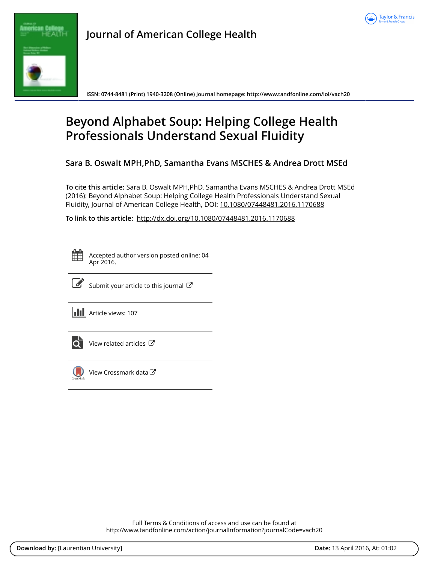



**Journal of American College Health**

**ISSN: 0744-8481 (Print) 1940-3208 (Online) Journal homepage:<http://www.tandfonline.com/loi/vach20>**

## **Beyond Alphabet Soup: Helping College Health Professionals Understand Sexual Fluidity**

**Sara B. Oswalt MPH,PhD, Samantha Evans MSCHES & Andrea Drott MSEd**

**To cite this article:** Sara B. Oswalt MPH,PhD, Samantha Evans MSCHES & Andrea Drott MSEd (2016): Beyond Alphabet Soup: Helping College Health Professionals Understand Sexual Fluidity, Journal of American College Health, DOI: [10.1080/07448481.2016.1170688](http://www.tandfonline.com/action/showCitFormats?doi=10.1080/07448481.2016.1170688)

**To link to this article:** <http://dx.doi.org/10.1080/07448481.2016.1170688>

Accepted author version posted online: 04 Apr 2016.



 $\overline{\mathscr{L}}$  [Submit your article to this journal](http://www.tandfonline.com/action/authorSubmission?journalCode=vach20&page=instructions)  $\mathbb{Z}$ 

**Article views: 107** 



 $\bullet$  [View related articles](http://www.tandfonline.com/doi/mlt/10.1080/07448481.2016.1170688)  $\mathbb{Z}$ 



[View Crossmark data](http://crossmark.crossref.org/dialog/?doi=10.1080/07448481.2016.1170688&domain=pdf&date_stamp=2016-04-04)

Full Terms & Conditions of access and use can be found at <http://www.tandfonline.com/action/journalInformation?journalCode=vach20>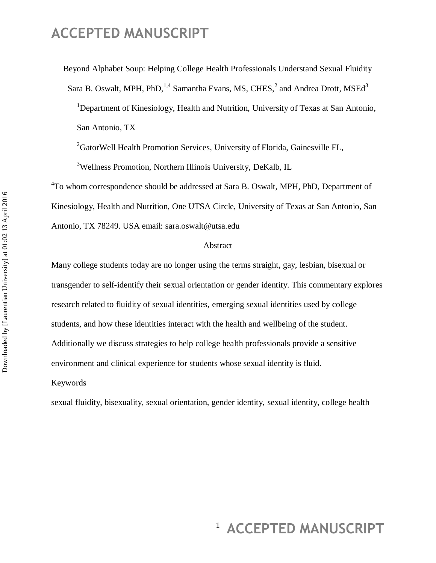Beyond Alphabet Soup: Helping College Health Professionals Understand Sexual Fluidity Sara B. Oswalt, MPH, PhD,  $^{1,4}$  Samantha Evans, MS, CHES,  $^2$  and Andrea Drott, MSEd<sup>3</sup>

<sup>1</sup>Department of Kinesiology, Health and Nutrition, University of Texas at San Antonio, San Antonio, TX

<sup>2</sup>GatorWell Health Promotion Services, University of Florida, Gainesville FL,

<sup>3</sup>Wellness Promotion, Northern Illinois University, DeKalb, IL

<sup>4</sup>To whom correspondence should be addressed at Sara B. Oswalt, MPH, PhD, Department of Kinesiology, Health and Nutrition, One UTSA Circle, University of Texas at San Antonio, San Antonio, TX 78249. USA email: [sara.oswalt@utsa.edu](mailto:sara.oswalt@utsa.edu)

#### Abstract

Many college students today are no longer using the terms straight, gay, lesbian, bisexual or transgender to self-identify their sexual orientation or gender identity. This commentary explores research related to fluidity of sexual identities, emerging sexual identities used by college students, and how these identities interact with the health and wellbeing of the student. Additionally we discuss strategies to help college health professionals provide a sensitive environment and clinical experience for students whose sexual identity is fluid.

#### Keywords

sexual fluidity, bisexuality, sexual orientation, gender identity, sexual identity, college health

## <sup>1</sup> ACCEPTED MANUSCRIPT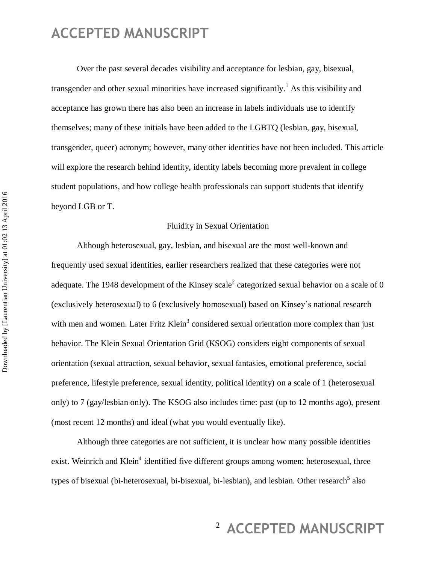Over the past several decades visibility and acceptance for lesbian, gay, bisexual, transgender and other sexual minorities have increased significantly.<sup>1</sup> As this visibility and acceptance has grown there has also been an increase in labels individuals use to identify themselves; many of these initials have been added to the LGBTQ (lesbian, gay, bisexual, transgender, queer) acronym; however, many other identities have not been included. This article will explore the research behind identity, identity labels becoming more prevalent in college student populations, and how college health professionals can support students that identify beyond LGB or T.

#### Fluidity in Sexual Orientation

Although heterosexual, gay, lesbian, and bisexual are the most well-known and frequently used sexual identities, earlier researchers realized that these categories were not adequate. The 1948 development of the Kinsey scale<sup>2</sup> categorized sexual behavior on a scale of 0 (exclusively heterosexual) to 6 (exclusively homosexual) based on Kinsey's national research with men and women. Later Fritz Klein<sup>3</sup> considered sexual orientation more complex than just behavior. The Klein Sexual Orientation Grid (KSOG) considers eight components of sexual orientation (sexual attraction, sexual behavior, sexual fantasies, emotional preference, social preference, lifestyle preference, sexual identity, political identity) on a scale of 1 (heterosexual only) to 7 (gay/lesbian only). The KSOG also includes time: past (up to 12 months ago), present (most recent 12 months) and ideal (what you would eventually like).

Although three categories are not sufficient, it is unclear how many possible identities exist. Weinrich and Klein<sup>4</sup> identified five different groups among women: heterosexual, three types of bisexual (bi-heterosexual, bi-bisexual, bi-lesbian), and lesbian. Other research<sup>5</sup> also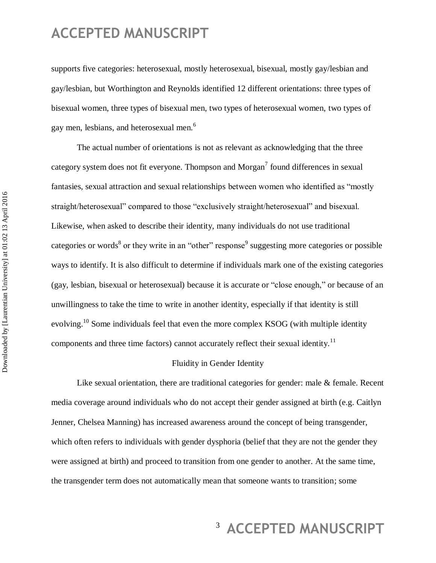supports five categories: heterosexual, mostly heterosexual, bisexual, mostly gay/lesbian and gay/lesbian, but Worthington and Reynolds identified 12 different orientations: three types of bisexual women, three types of bisexual men, two types of heterosexual women, two types of gay men, lesbians, and heterosexual men.<sup>6</sup>

The actual number of orientations is not as relevant as acknowledging that the three category system does not fit everyone. Thompson and Morgan<sup>7</sup> found differences in sexual fantasies, sexual attraction and sexual relationships between women who identified as "mostly straight/heterosexual" compared to those "exclusively straight/heterosexual" and bisexual. Likewise, when asked to describe their identity, many individuals do not use traditional categories or words<sup>8</sup> or they write in an "other" response<sup>9</sup> suggesting more categories or possible ways to identify. It is also difficult to determine if individuals mark one of the existing categories (gay, lesbian, bisexual or heterosexual) because it is accurate or "close enough," or because of an unwillingness to take the time to write in another identity, especially if that identity is still evolving.<sup>10</sup> Some individuals feel that even the more complex KSOG (with multiple identity components and three time factors) cannot accurately reflect their sexual identity.<sup>11</sup>

#### Fluidity in Gender Identity

Like sexual orientation, there are traditional categories for gender: male & female. Recent media coverage around individuals who do not accept their gender assigned at birth (e.g. Caitlyn Jenner, Chelsea Manning) has increased awareness around the concept of being transgender, which often refers to individuals with gender dysphoria (belief that they are not the gender they were assigned at birth) and proceed to transition from one gender to another. At the same time, the transgender term does not automatically mean that someone wants to transition; some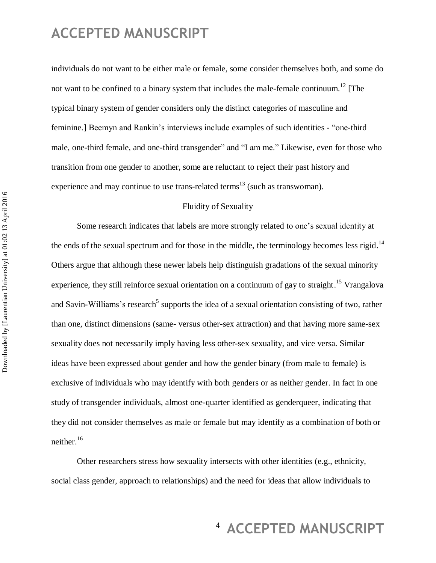individuals do not want to be either male or female, some consider themselves both, and some do not want to be confined to a binary system that includes the male-female continuum.<sup>12</sup> [The typical binary system of gender considers only the distinct categories of masculine and feminine.] Beemyn and Rankin's interviews include examples of such identities - "one-third male, one-third female, and one-third transgender" and "I am me." Likewise, even for those who transition from one gender to another, some are reluctant to reject their past history and experience and may continue to use trans-related terms<sup>13</sup> (such as transwoman).

#### Fluidity of Sexuality

Some research indicates that labels are more strongly related to one's sexual identity at the ends of the sexual spectrum and for those in the middle, the terminology becomes less rigid.<sup>14</sup> Others argue that although these newer labels help distinguish gradations of the sexual minority experience, they still reinforce sexual orientation on a continuum of gay to straight.<sup>15</sup> Vrangalova and Savin-Williams's research<sup>5</sup> supports the idea of a sexual orientation consisting of two, rather than one, distinct dimensions (same- versus other-sex attraction) and that having more same-sex sexuality does not necessarily imply having less other-sex sexuality, and vice versa. Similar ideas have been expressed about gender and how the gender binary (from male to female) is exclusive of individuals who may identify with both genders or as neither gender. In fact in one study of transgender individuals, almost one-quarter identified as genderqueer, indicating that they did not consider themselves as male or female but may identify as a combination of both or neither. 16

Other researchers stress how sexuality intersects with other identities (e.g., ethnicity, social class gender, approach to relationships) and the need for ideas that allow individuals to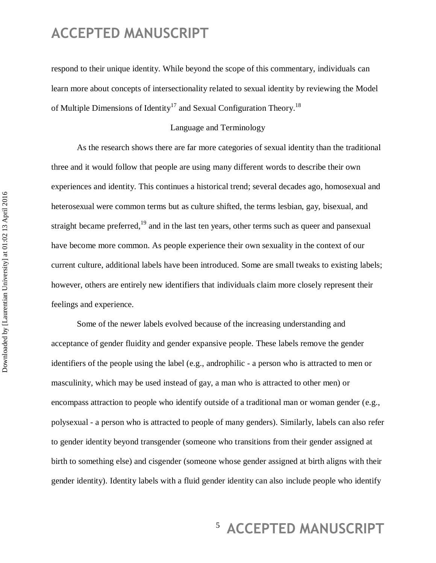respond to their unique identity. While beyond the scope of this commentary, individuals can learn more about concepts of intersectionality related to sexual identity by reviewing the Model of Multiple Dimensions of Identity<sup>17</sup> and Sexual Configuration Theory.<sup>18</sup>

#### Language and Terminology

As the research shows there are far more categories of sexual identity than the traditional three and it would follow that people are using many different words to describe their own experiences and identity. This continues a historical trend; several decades ago, homosexual and heterosexual were common terms but as culture shifted, the terms lesbian, gay, bisexual, and straight became preferred,<sup>19</sup> and in the last ten years, other terms such as queer and pansexual have become more common. As people experience their own sexuality in the context of our current culture, additional labels have been introduced. Some are small tweaks to existing labels; however, others are entirely new identifiers that individuals claim more closely represent their feelings and experience.

Some of the newer labels evolved because of the increasing understanding and acceptance of gender fluidity and gender expansive people. These labels remove the gender identifiers of the people using the label (e.g., androphilic - a person who is attracted to men or masculinity, which may be used instead of gay, a man who is attracted to other men) or encompass attraction to people who identify outside of a traditional man or woman gender (e.g., polysexual - a person who is attracted to people of many genders). Similarly, labels can also refer to gender identity beyond transgender (someone who transitions from their gender assigned at birth to something else) and cisgender (someone whose gender assigned at birth aligns with their gender identity). Identity labels with a fluid gender identity can also include people who identify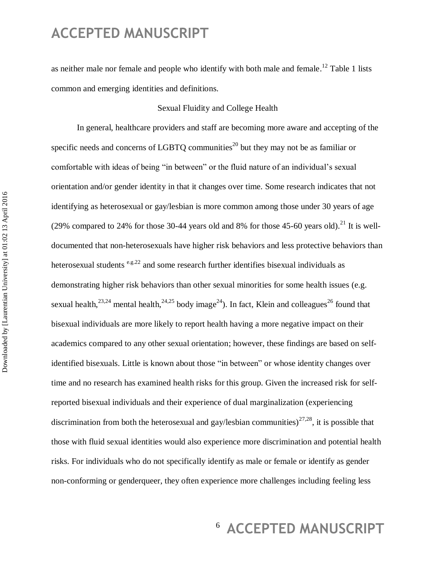as neither male nor female and people who identify with both male and female.<sup>12</sup> Table 1 lists common and emerging identities and definitions.

#### Sexual Fluidity and College Health

In general, healthcare providers and staff are becoming more aware and accepting of the specific needs and concerns of LGBTQ communities<sup>20</sup> but they may not be as familiar or comfortable with ideas of being "in between" or the fluid nature of an individual's sexual orientation and/or gender identity in that it changes over time. Some research indicates that not identifying as heterosexual or gay/lesbian is more common among those under 30 years of age (29% compared to 24% for those 30-44 years old and 8% for those 45-60 years old).<sup>21</sup> It is welldocumented that non-heterosexuals have higher risk behaviors and less protective behaviors than heterosexual students <sup>e.g.22</sup> and some research further identifies bisexual individuals as demonstrating higher risk behaviors than other sexual minorities for some health issues (e.g. sexual health,<sup>23,24</sup> mental health,<sup>24,25</sup> body image<sup>24</sup>). In fact, Klein and colleagues<sup>26</sup> found that bisexual individuals are more likely to report health having a more negative impact on their academics compared to any other sexual orientation; however, these findings are based on selfidentified bisexuals. Little is known about those "in between" or whose identity changes over time and no research has examined health risks for this group. Given the increased risk for selfreported bisexual individuals and their experience of dual marginalization (experiencing discrimination from both the heterosexual and gay/lesbian communities)<sup>27,28</sup>, it is possible that those with fluid sexual identities would also experience more discrimination and potential health risks. For individuals who do not specifically identify as male or female or identify as gender non-conforming or genderqueer, they often experience more challenges including feeling less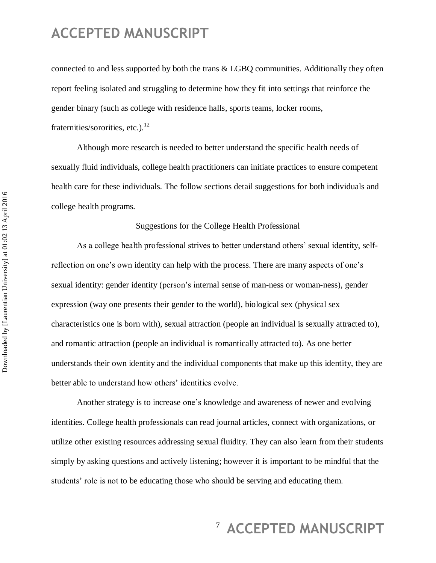connected to and less supported by both the trans & LGBQ communities. Additionally they often report feeling isolated and struggling to determine how they fit into settings that reinforce the gender binary (such as college with residence halls, sports teams, locker rooms, fraternities/sororities, etc.).<sup>12</sup>

Although more research is needed to better understand the specific health needs of sexually fluid individuals, college health practitioners can initiate practices to ensure competent health care for these individuals. The follow sections detail suggestions for both individuals and college health programs.

#### Suggestions for the College Health Professional

As a college health professional strives to better understand others' sexual identity, selfreflection on one's own identity can help with the process. There are many aspects of one's sexual identity: gender identity (person's internal sense of man-ness or woman-ness), gender expression (way one presents their gender to the world), biological sex (physical sex characteristics one is born with), sexual attraction (people an individual is sexually attracted to), and romantic attraction (people an individual is romantically attracted to). As one better understands their own identity and the individual components that make up this identity, they are better able to understand how others' identities evolve.

Another strategy is to increase one's knowledge and awareness of newer and evolving identities. College health professionals can read journal articles, connect with organizations, or utilize other existing resources addressing sexual fluidity. They can also learn from their students simply by asking questions and actively listening; however it is important to be mindful that the students' role is not to be educating those who should be serving and educating them.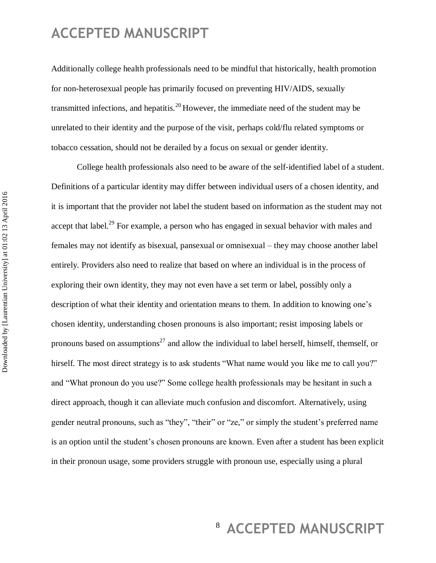Additionally college health professionals need to be mindful that historically, health promotion for non-heterosexual people has primarily focused on preventing HIV/AIDS, sexually transmitted infections, and hepatitis.<sup>20</sup> However, the immediate need of the student may be unrelated to their identity and the purpose of the visit, perhaps cold/flu related symptoms or tobacco cessation, should not be derailed by a focus on sexual or gender identity.

College health professionals also need to be aware of the self-identified label of a student. Definitions of a particular identity may differ between individual users of a chosen identity, and it is important that the provider not label the student based on information as the student may not accept that label.<sup>29</sup> For example, a person who has engaged in sexual behavior with males and females may not identify as bisexual, pansexual or omnisexual – they may choose another label entirely. Providers also need to realize that based on where an individual is in the process of exploring their own identity, they may not even have a set term or label, possibly only a description of what their identity and orientation means to them. In addition to knowing one's chosen identity, understanding chosen pronouns is also important; resist imposing labels or pronouns based on assumptions<sup>27</sup> and allow the individual to label herself, himself, themself, or hirself. The most direct strategy is to ask students "What name would you like me to call you?" and "What pronoun do you use?" Some college health professionals may be hesitant in such a direct approach, though it can alleviate much confusion and discomfort. Alternatively, using gender neutral pronouns, such as "they", "their" or "ze," or simply the student's preferred name is an option until the student's chosen pronouns are known. Even after a student has been explicit in their pronoun usage, some providers struggle with pronoun use, especially using a plural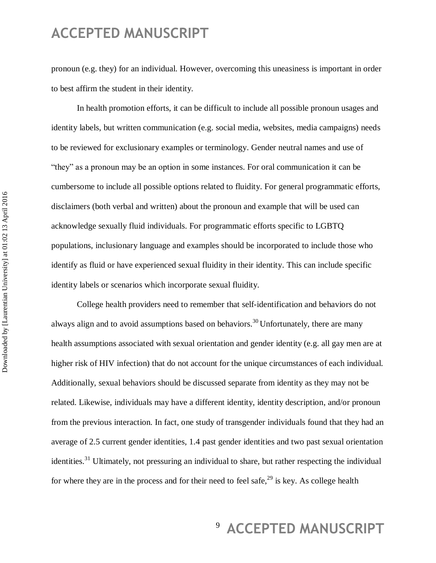pronoun (e.g. they) for an individual. However, overcoming this uneasiness is important in order to best affirm the student in their identity.

In health promotion efforts, it can be difficult to include all possible pronoun usages and identity labels, but written communication (e.g. social media, websites, media campaigns) needs to be reviewed for exclusionary examples or terminology. Gender neutral names and use of "they" as a pronoun may be an option in some instances. For oral communication it can be cumbersome to include all possible options related to fluidity. For general programmatic efforts, disclaimers (both verbal and written) about the pronoun and example that will be used can acknowledge sexually fluid individuals. For programmatic efforts specific to LGBTQ populations, inclusionary language and examples should be incorporated to include those who identify as fluid or have experienced sexual fluidity in their identity. This can include specific identity labels or scenarios which incorporate sexual fluidity.

College health providers need to remember that self-identification and behaviors do not always align and to avoid assumptions based on behaviors.<sup>30</sup> Unfortunately, there are many health assumptions associated with sexual orientation and gender identity (e.g. all gay men are at higher risk of HIV infection) that do not account for the unique circumstances of each individual. Additionally, sexual behaviors should be discussed separate from identity as they may not be related. Likewise, individuals may have a different identity, identity description, and/or pronoun from the previous interaction. In fact, one study of transgender individuals found that they had an average of 2.5 current gender identities, 1.4 past gender identities and two past sexual orientation identities.<sup>31</sup> Ultimately, not pressuring an individual to share, but rather respecting the individual for where they are in the process and for their need to feel safe, $^{29}$  is key. As college health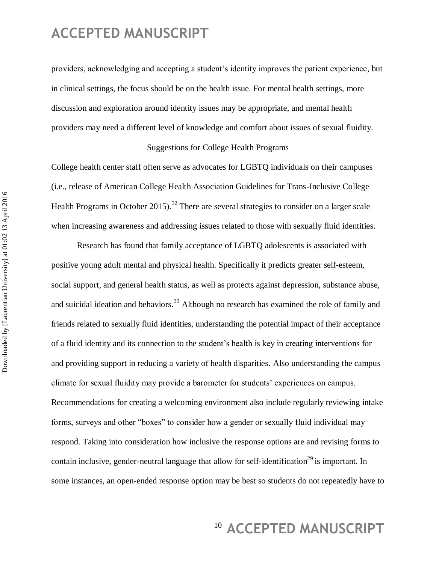providers, acknowledging and accepting a student's identity improves the patient experience, but in clinical settings, the focus should be on the health issue. For mental health settings, more discussion and exploration around identity issues may be appropriate, and mental health providers may need a different level of knowledge and comfort about issues of sexual fluidity.

#### Suggestions for College Health Programs

College health center staff often serve as advocates for LGBTQ individuals on their campuses (i.e., release of American College Health Association Guidelines for Trans-Inclusive College Health Programs in October 2015).<sup>32</sup> There are several strategies to consider on a larger scale when increasing awareness and addressing issues related to those with sexually fluid identities.

Research has found that family acceptance of LGBTQ adolescents is associated with positive young adult mental and physical health. Specifically it predicts greater self-esteem, social support, and general health status, as well as protects against depression, substance abuse, and suicidal ideation and behaviors.<sup>33</sup> Although no research has examined the role of family and friends related to sexually fluid identities, understanding the potential impact of their acceptance of a fluid identity and its connection to the student's health is key in creating interventions for and providing support in reducing a variety of health disparities. Also understanding the campus climate for sexual fluidity may provide a barometer for students' experiences on campus. Recommendations for creating a welcoming environment also include regularly reviewing intake forms, surveys and other "boxes" to consider how a gender or sexually fluid individual may respond. Taking into consideration how inclusive the response options are and revising forms to contain inclusive, gender-neutral language that allow for self-identification<sup>29</sup> is important. In some instances, an open-ended response option may be best so students do not repeatedly have to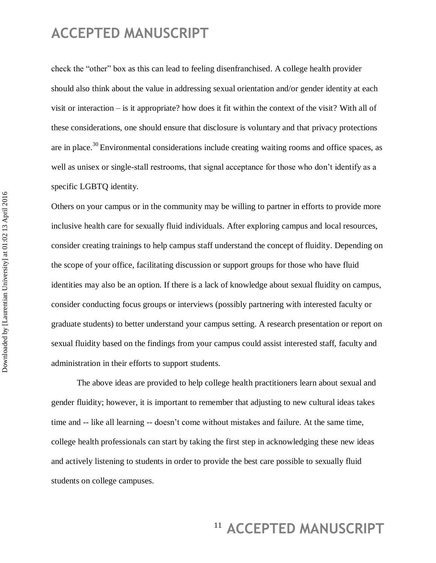check the "other" box as this can lead to feeling disenfranchised. A college health provider should also think about the value in addressing sexual orientation and/or gender identity at each visit or interaction – is it appropriate? how does it fit within the context of the visit? With all of these considerations, one should ensure that disclosure is voluntary and that privacy protections are in place.<sup>30</sup> Environmental considerations include creating waiting rooms and office spaces, as well as unisex or single-stall restrooms, that signal acceptance for those who don't identify as a specific LGBTQ identity.

Others on your campus or in the community may be willing to partner in efforts to provide more inclusive health care for sexually fluid individuals. After exploring campus and local resources, consider creating trainings to help campus staff understand the concept of fluidity. Depending on the scope of your office, facilitating discussion or support groups for those who have fluid identities may also be an option. If there is a lack of knowledge about sexual fluidity on campus, consider conducting focus groups or interviews (possibly partnering with interested faculty or graduate students) to better understand your campus setting. A research presentation or report on sexual fluidity based on the findings from your campus could assist interested staff, faculty and administration in their efforts to support students.

The above ideas are provided to help college health practitioners learn about sexual and gender fluidity; however, it is important to remember that adjusting to new cultural ideas takes time and -- like all learning -- doesn't come without mistakes and failure. At the same time, college health professionals can start by taking the first step in acknowledging these new ideas and actively listening to students in order to provide the best care possible to sexually fluid students on college campuses.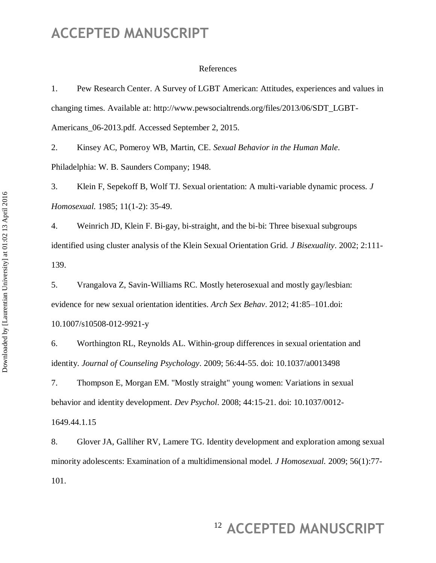#### References

1. Pew Research Center. A Survey of LGBT American: Attitudes, experiences and values in changing times. Available at: http://www.pewsocialtrends.org/files/2013/06/SDT\_LGBT-Americans\_06-2013.pdf. Accessed September 2, 2015.

2. Kinsey AC, Pomeroy WB, Martin, CE. *Sexual Behavior in the Human Male*. Philadelphia: W. B. Saunders Company; 1948.

3. Klein F, Sepekoff B, Wolf TJ. Sexual orientation: A multi-variable dynamic process. *J Homosexual.* 1985; 11(1-2): 35-49.

4. Weinrich JD, Klein F. Bi-gay, bi-straight, and the bi-bi: Three bisexual subgroups identified using cluster analysis of the Klein Sexual Orientation Grid. *J Bisexuality*. 2002; 2:111- 139.

5. Vrangalova Z, Savin-Williams RC. Mostly heterosexual and mostly gay/lesbian: evidence for new sexual orientation identities. *Arch Sex Behav*. 2012; 41:85–101.doi: 10.1007/s10508-012-9921-y

6. Worthington RL, Reynolds AL. Within-group differences in sexual orientation and identity. *Journal of Counseling Psychology*. 2009; 56:44-55. doi: 10.1037/a0013498

7. Thompson E, Morgan EM. "Mostly straight" young women: Variations in sexual behavior and identity development. *Dev Psychol*. 2008; 44:15-21. doi: 10.1037/0012- 1649.44.1.15

8. Glover JA, Galliher RV, Lamere TG. Identity development and exploration among sexual minority adolescents: Examination of a multidimensional model. *J Homosexual.* 2009; 56(1):77- 101.

## <sup>12</sup> ACCEPTED MANUSCRIPT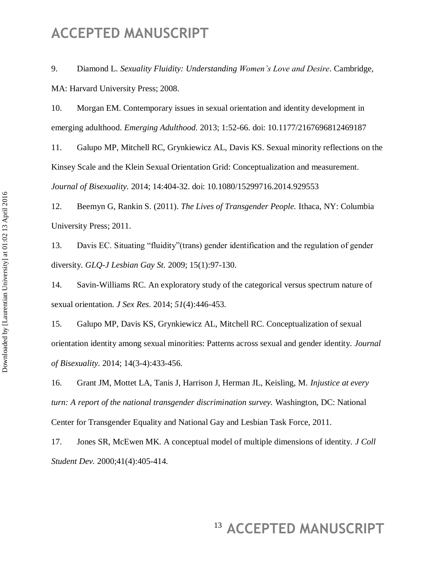9. Diamond L. *Sexuality Fluidity: Understanding Women's Love and Desire*. Cambridge, MA: Harvard University Press; 2008.

10. Morgan EM. Contemporary issues in sexual orientation and identity development in emerging adulthood. *Emerging Adulthood.* 2013; 1:52-66. doi: 10.1177/2167696812469187

11. Galupo MP, Mitchell RC, Grynkiewicz AL, Davis KS. Sexual minority reflections on the Kinsey Scale and the Klein Sexual Orientation Grid: Conceptualization and measurement. *Journal of Bisexuality.* 2014; 14:404-32. doi: 10.1080/15299716.2014.929553

12. Beemyn G, Rankin S. (2011). *The Lives of Transgender People.* Ithaca, NY: Columbia University Press; 2011.

13. Davis EC. Situating "fluidity"(trans) gender identification and the regulation of gender diversity. *GLQ-J Lesbian Gay St.* 2009; 15(1):97-130.

14. Savin-Williams RC. An exploratory study of the categorical versus spectrum nature of sexual orientation. *J Sex Res*. 2014; *51*(4):446-453.

15. Galupo MP, Davis KS, Grynkiewicz AL, Mitchell RC. Conceptualization of sexual orientation identity among sexual minorities: Patterns across sexual and gender identity. *Journal of Bisexuality.* 2014; 14(3-4):433-456.

16. Grant JM, Mottet LA, Tanis J, Harrison J, Herman JL, Keisling, M. *Injustice at every turn: A report of the national transgender discrimination survey.* Washington, DC: National Center for Transgender Equality and National Gay and Lesbian Task Force, 2011.

17. Jones SR, McEwen MK. A conceptual model of multiple dimensions of identity. *J Coll Student Dev.* 2000;41(4):405-414.

## <sup>13</sup> ACCEPTED MANUSCRIPT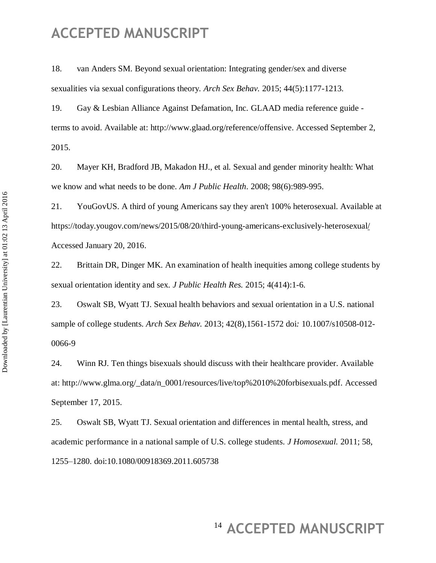18. van Anders SM. Beyond sexual orientation: Integrating gender/sex and diverse sexualities via sexual configurations theory. *Arch Sex Behav.* 2015; 44(5):1177-1213.

19. Gay & Lesbian Alliance Against Defamation, Inc. GLAAD media reference guide terms to avoid. Available at: http://www.glaad.org/reference/offensive. Accessed September 2, 2015.

20. Mayer KH, Bradford JB, Makadon HJ., et al. Sexual and gender minority health: What we know and what needs to be done. *Am J Public Health*. 2008; 98(6):989-995.

21. YouGovUS. A third of young Americans say they aren't 100% heterosexual. Available at <https://today.yougov.com/news/2015/08/20/third-young-americans-exclusively-heterosexual/> Accessed January 20, 2016.

22. Brittain DR, Dinger MK. An examination of health inequities among college students by sexual orientation identity and sex. *J Public Health Res.* 2015; 4(414):1-6.

23. Oswalt SB, Wyatt TJ. Sexual health behaviors and sexual orientation in a U.S. national sample of college students. *Arch Sex Behav.* 2013; 42(8),1561-1572 doi*:* 10.1007/s10508-012- 0066-9

24. Winn RJ. Ten things bisexuals should discuss with their healthcare provider. Available at: [http://www.glma.org/\\_data/n\\_0001/resources/live/top%2010%20forbisexuals.pdf.](http://www.glma.org/_data/n_0001/resources/live/top%2010%20forbisexuals.pdf) Accessed September 17, 2015.

25. Oswalt SB, Wyatt TJ. Sexual orientation and differences in mental health, stress, and academic performance in a national sample of U.S. college students*. J Homosexual.* 2011; 58, 1255–1280. doi:10.1080/00918369.2011.605738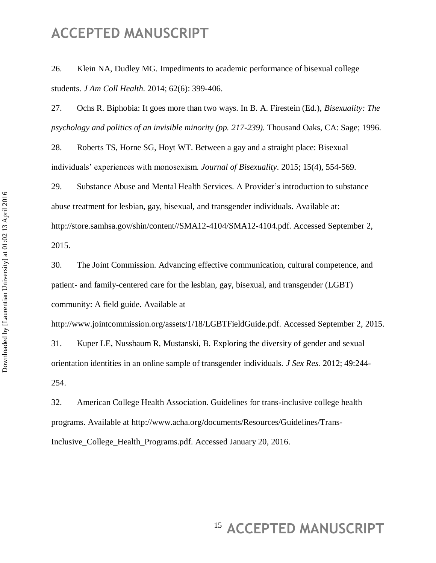26. Klein NA, Dudley MG. Impediments to academic performance of bisexual college students. *J Am Coll Health.* 2014; 62(6): 399-406.

27. Ochs R. Biphobia: It goes more than two ways. In B. A. Firestein (Ed.), *Bisexuality: The psychology and politics of an invisible minority (pp. 217-239).* Thousand Oaks, CA: Sage; 1996.

28. Roberts TS, Horne SG, Hoyt WT. Between a gay and a straight place: Bisexual individuals' experiences with monosexism. *Journal of Bisexuality*. 2015; 15(4), 554-569.

29. Substance Abuse and Mental Health Services. A Provider's introduction to substance abuse treatment for lesbian, gay, bisexual, and transgender individuals. Available at: [http://store.samhsa.gov/shin/content//SMA12-4104/SMA12-4104.pdf.](http://store.samhsa.gov/shin/content/SMA12-4104/SMA12-4104.pdf) Accessed September 2, 2015.

30. The Joint Commission. Advancing effective communication, cultural competence, and patient- and family-centered care for the lesbian, gay, bisexual, and transgender (LGBT) community: A field guide. Available at

[http://www.jointcommission.org/assets/1/18/LGBTFieldGuide.pdf.](http://www.jointcommission.org/assets/1/18/LGBTFieldGuide.pdf) Accessed September 2, 2015.

31. Kuper LE, Nussbaum R, Mustanski, B. Exploring the diversity of gender and sexual orientation identities in an online sample of transgender individuals. *J Sex Res.* 2012; 49:244- 254.

32. American College Health Association. Guidelines for trans-inclusive college health programs. Available at [http://www.acha.org/documents/Resources/Guidelines/Trans-](http://www.acha.org/documents/Resources/Guidelines/Trans-Inclusive_College_Health_Programs.pdf)[Inclusive\\_College\\_Health\\_Programs.pdf.](http://www.acha.org/documents/Resources/Guidelines/Trans-Inclusive_College_Health_Programs.pdf) Accessed January 20, 2016.

## <sup>15</sup> ACCEPTED MANUSCRIPT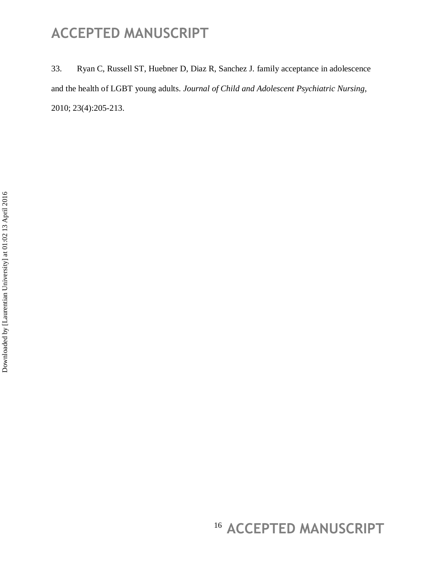33. Ryan C, Russell ST, Huebner D, Diaz R, Sanchez J. family acceptance in adolescence and the health of LGBT young adults. *Journal of Child and Adolescent Psychiatric Nursing*, 2010; 23(4):205-213.

# <sup>16</sup> ACCEPTED MANUSCRIPT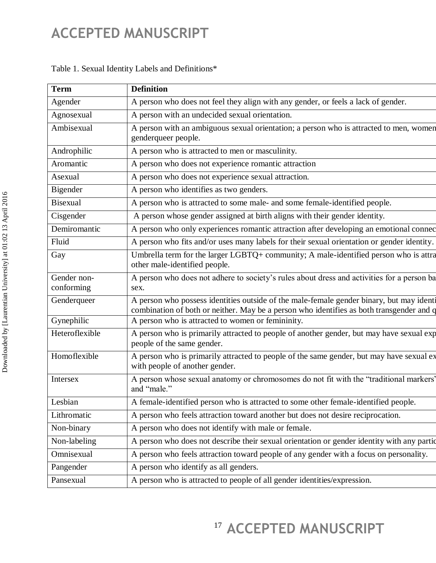Table 1. Sexual Identity Labels and Definitions\*

| <b>Term</b>               | <b>Definition</b>                                                                                                                                                                    |
|---------------------------|--------------------------------------------------------------------------------------------------------------------------------------------------------------------------------------|
| Agender                   | A person who does not feel they align with any gender, or feels a lack of gender.                                                                                                    |
| Agnosexual                | A person with an undecided sexual orientation.                                                                                                                                       |
| Ambisexual                | A person with an ambiguous sexual orientation; a person who is attracted to men, women<br>genderqueer people.                                                                        |
| Androphilic               | A person who is attracted to men or masculinity.                                                                                                                                     |
| Aromantic                 | A person who does not experience romantic attraction                                                                                                                                 |
| Asexual                   | A person who does not experience sexual attraction.                                                                                                                                  |
| Bigender                  | A person who identifies as two genders.                                                                                                                                              |
| <b>Bisexual</b>           | A person who is attracted to some male- and some female-identified people.                                                                                                           |
| Cisgender                 | A person whose gender assigned at birth aligns with their gender identity.                                                                                                           |
| Demiromantic              | A person who only experiences romantic attraction after developing an emotional connect                                                                                              |
| Fluid                     | A person who fits and/or uses many labels for their sexual orientation or gender identity.                                                                                           |
| Gay                       | Umbrella term for the larger LGBTQ+ community; A male-identified person who is attra<br>other male-identified people.                                                                |
| Gender non-<br>conforming | A person who does not adhere to society's rules about dress and activities for a person ba<br>sex.                                                                                   |
| Genderqueer               | A person who possess identities outside of the male-female gender binary, but may identi<br>combination of both or neither. May be a person who identifies as both transgender and q |
| Gynephilic                | A person who is attracted to women or femininity.                                                                                                                                    |
| Heteroflexible            | A person who is primarily attracted to people of another gender, but may have sexual exp<br>people of the same gender.                                                               |
| Homoflexible              | A person who is primarily attracted to people of the same gender, but may have sexual ex<br>with people of another gender.                                                           |
| Intersex                  | A person whose sexual anatomy or chromosomes do not fit with the "traditional markers'<br>and "male."                                                                                |
| Lesbian                   | A female-identified person who is attracted to some other female-identified people.                                                                                                  |
| Lithromatic               | A person who feels attraction toward another but does not desire reciprocation.                                                                                                      |
| Non-binary                | A person who does not identify with male or female.                                                                                                                                  |
| Non-labeling              | A person who does not describe their sexual orientation or gender identity with any partic                                                                                           |
| Omnisexual                | A person who feels attraction toward people of any gender with a focus on personality.                                                                                               |
| Pangender                 | A person who identify as all genders.                                                                                                                                                |
| Pansexual                 | A person who is attracted to people of all gender identities/expression.                                                                                                             |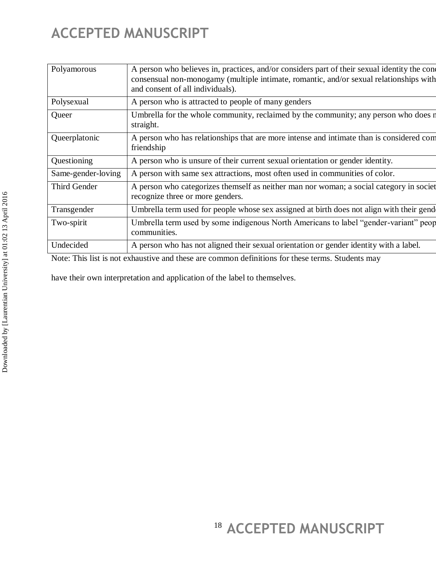| Polyamorous        | A person who believes in, practices, and/or considers part of their sexual identity the con-<br>consensual non-monogamy (multiple intimate, romantic, and/or sexual relationships with<br>and consent of all individuals). |
|--------------------|----------------------------------------------------------------------------------------------------------------------------------------------------------------------------------------------------------------------------|
| Polysexual         | A person who is attracted to people of many genders                                                                                                                                                                        |
| Queer              | Umbrella for the whole community, reclaimed by the community; any person who does r<br>straight.                                                                                                                           |
| Queerplatonic      | A person who has relationships that are more intense and intimate than is considered com<br>friendship                                                                                                                     |
| Questioning        | A person who is unsure of their current sexual orientation or gender identity.                                                                                                                                             |
| Same-gender-loving | A person with same sex attractions, most often used in communities of color.                                                                                                                                               |
| Third Gender       | A person who categorizes themself as neither man nor woman; a social category in societ<br>recognize three or more genders.                                                                                                |
| Transgender        | Umbrella term used for people whose sex assigned at birth does not align with their gend                                                                                                                                   |
| Two-spirit         | Umbrella term used by some indigenous North Americans to label "gender-variant" peop<br>communities.                                                                                                                       |
| Undecided          | A person who has not aligned their sexual orientation or gender identity with a label.                                                                                                                                     |

Note: This list is not exhaustive and these are common definitions for these terms. Students may

have their own interpretation and application of the label to themselves.